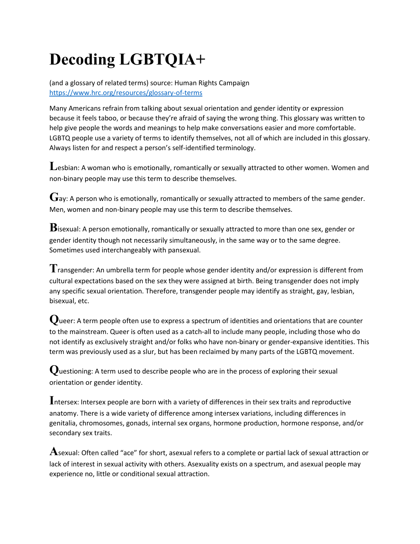# **Decoding LGBTQIA+**

(and a glossary of related terms) source: Human Rights Campaign <https://www.hrc.org/resources/glossary-of-terms>

Many Americans refrain from talking about sexual orientation and gender identity or expression because it feels taboo, or because they're afraid of saying the wrong thing. This glossary was written to help give people the words and meanings to help make conversations easier and more comfortable. LGBTQ people use a variety of terms to identify themselves, not all of which are included in this glossary. Always listen for and respect a person's self-identified terminology.

Lesbian: A woman who is emotionally, romantically or sexually attracted to other women. Women and non-binary people may use this term to describe themselves.

 $\mathbf G$ ay: A person who is emotionally, romantically or sexually attracted to members of the same gender. Men, women and non-binary people may use this term to describe themselves.

**B**isexual: A person emotionally, romantically or sexually attracted to more than one sex, gender or gender identity though not necessarily simultaneously, in the same way or to the same degree. Sometimes used interchangeably with pansexual.

**T**ransgender: An umbrella term for people whose gender identity and/or expression is different from cultural expectations based on the sex they were assigned at birth. Being transgender does not imply any specific sexual orientation. Therefore, transgender people may identify as straight, gay, lesbian, bisexual, etc.

**Q**ueer: A term people often use to express a spectrum of identities and orientations that are counter to the mainstream. Queer is often used as a catch-all to include many people, including those who do not identify as exclusively straight and/or folks who have non-binary or gender-expansive identities. This term was previously used as a slur, but has been reclaimed by many parts of the LGBTQ movement.

**Q**uestioning: A term used to describe people who are in the process of exploring their sexual orientation or gender identity.

**I**ntersex: Intersex people are born with a variety of differences in their sex traits and reproductive anatomy. There is a wide variety of difference among intersex variations, including differences in genitalia, chromosomes, gonads, internal sex organs, hormone production, hormone response, and/or secondary sex traits.

**A**sexual: Often called "ace" for short, asexual refers to a complete or partial lack of sexual attraction or lack of interest in sexual activity with others. Asexuality exists on a spectrum, and asexual people may experience no, little or conditional sexual attraction.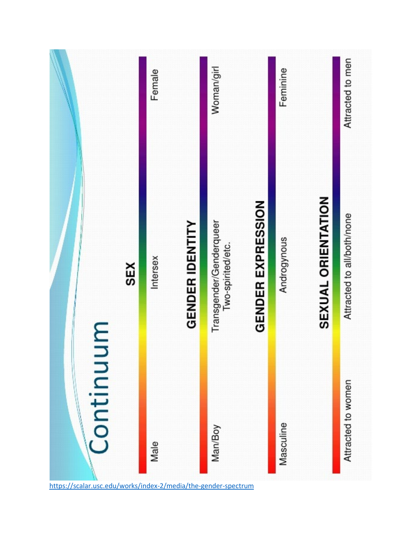

<https://scalar.usc.edu/works/index-2/media/the-gender-spectrum>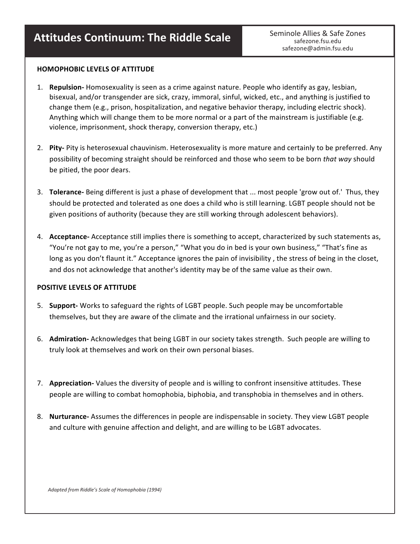## **Attitudes Continuum: The Riddle Scale** Seminole Allies & Safe Zones

safezone.fsu.edu safezone@admin.fsu.edu

#### **HOMOPHOBIC LEVELS OF ATTITUDE**

- 1. **Repulsion-** Homosexuality is seen as a crime against nature. People who identify as gay, lesbian, bisexual, and/or transgender are sick, crazy, immoral, sinful, wicked, etc., and anything is justified to change them (e.g., prison, hospitalization, and negative behavior therapy, including electric shock). Anything which will change them to be more normal or a part of the mainstream is justifiable (e.g. violence, imprisonment, shock therapy, conversion therapy, etc.)
- 2. Pity- Pity is heterosexual chauvinism. Heterosexuality is more mature and certainly to be preferred. Any possibility of becoming straight should be reinforced and those who seem to be born *that way* should be pitied, the poor dears.
- 3. **Tolerance-** Being different is just a phase of development that ... most people 'grow out of.' Thus, they should be protected and tolerated as one does a child who is still learning. LGBT people should not be given positions of authority (because they are still working through adolescent behaviors).
- 4. **Acceptance-** Acceptance still implies there is something to accept, characterized by such statements as, "You're not gay to me, you're a person," "What you do in bed is your own business," "That's fine as long as you don't flaunt it." Acceptance ignores the pain of invisibility, the stress of being in the closet, and dos not acknowledge that another's identity may be of the same value as their own.

#### **POSITIVE LEVELS OF ATTITUDE**

- 5. **Support-** Works to safeguard the rights of LGBT people. Such people may be uncomfortable themselves, but they are aware of the climate and the irrational unfairness in our society.
- 6. Admiration- Acknowledges that being LGBT in our society takes strength. Such people are willing to truly look at themselves and work on their own personal biases.
- 7. **Appreciation-** Values the diversity of people and is willing to confront insensitive attitudes. These people are willing to combat homophobia, biphobia, and transphobia in themselves and in others.
- 8. **Nurturance-** Assumes the differences in people are indispensable in society. They view LGBT people and culture with genuine affection and delight, and are willing to be LGBT advocates.

 *Adapted from Riddle's Scale of Homophobia (1994)*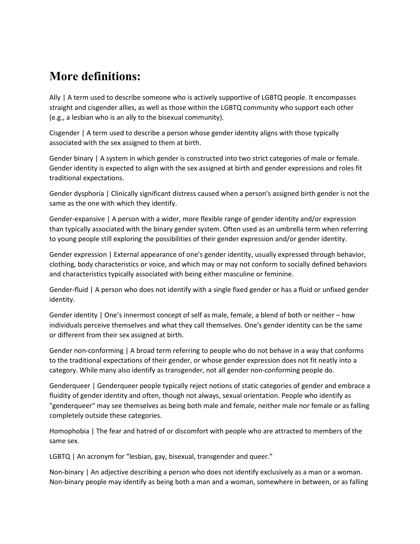### **More definitions:**

Ally | A term used to describe someone who is actively supportive of LGBTQ people. It encompasses straight and cisgender allies, as well as those within the LGBTQ community who support each other (e.g., a lesbian who is an ally to the bisexual community).

Cisgender | A term used to describe a person whose gender identity aligns with those typically associated with the sex assigned to them at birth.

Gender binary | A system in which gender is constructed into two strict categories of male or female. Gender identity is expected to align with the sex assigned at birth and gender expressions and roles fit traditional expectations.

Gender dysphoria | Clinically significant distress caused when a person's assigned birth gender is not the same as the one with which they identify.

Gender-expansive | A person with a wider, more flexible range of gender identity and/or expression than typically associated with the binary gender system. Often used as an umbrella term when referring to young people still exploring the possibilities of their gender expression and/or gender identity.

Gender expression | External appearance of one's gender identity, usually expressed through behavior, clothing, body characteristics or voice, and which may or may not conform to socially defined behaviors and characteristics typically associated with being either masculine or feminine.

Gender-fluid | A person who does not identify with a single fixed gender or has a fluid or unfixed gender identity.

Gender identity | One's innermost concept of self as male, female, a blend of both or neither – how individuals perceive themselves and what they call themselves. One's gender identity can be the same or different from their sex assigned at birth.

Gender non-conforming | A broad term referring to people who do not behave in a way that conforms to the traditional expectations of their gender, or whose gender expression does not fit neatly into a category. While many also identify as transgender, not all gender non-conforming people do.

Genderqueer | Genderqueer people typically reject notions of static categories of gender and embrace a fluidity of gender identity and often, though not always, sexual orientation. People who identify as "genderqueer" may see themselves as being both male and female, neither male nor female or as falling completely outside these categories.

Homophobia | The fear and hatred of or discomfort with people who are attracted to members of the same sex.

LGBTQ | An acronym for "lesbian, gay, bisexual, transgender and queer."

Non-binary | An adjective describing a person who does not identify exclusively as a man or a woman. Non-binary people may identify as being both a man and a woman, somewhere in between, or as falling